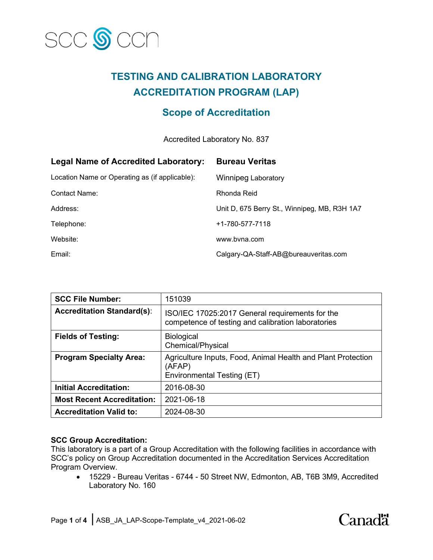

# **TESTING AND CALIBRATION LABORATORY ACCREDITATION PROGRAM (LAP)**

# **Scope of Accreditation**

Accredited Laboratory No. 837

| <b>Legal Name of Accredited Laboratory:</b>    | <b>Bureau Veritas</b>                        |
|------------------------------------------------|----------------------------------------------|
| Location Name or Operating as (if applicable): | <b>Winnipeg Laboratory</b>                   |
| Contact Name:                                  | Rhonda Reid                                  |
| Address:                                       | Unit D, 675 Berry St., Winnipeg, MB, R3H 1A7 |
| Telephone:                                     | +1-780-577-7118                              |
| Website:                                       | www.byna.com                                 |
| Email:                                         | Calgary-QA-Staff-AB@bureauveritas.com        |

| <b>SCC File Number:</b>           | 151039                                                                                                |
|-----------------------------------|-------------------------------------------------------------------------------------------------------|
| <b>Accreditation Standard(s):</b> | ISO/IEC 17025:2017 General requirements for the<br>competence of testing and calibration laboratories |
| <b>Fields of Testing:</b>         | <b>Biological</b><br>Chemical/Physical                                                                |
| <b>Program Specialty Area:</b>    | Agriculture Inputs, Food, Animal Health and Plant Protection<br>(AFAP)<br>Environmental Testing (ET)  |
| <b>Initial Accreditation:</b>     | 2016-08-30                                                                                            |
| <b>Most Recent Accreditation:</b> | 2021-06-18                                                                                            |
| <b>Accreditation Valid to:</b>    | 2024-08-30                                                                                            |

# **SCC Group Accreditation:**

This laboratory is a part of a Group Accreditation with the following facilities in accordance with SCC's policy on Group Accreditation documented in the Accreditation Services Accreditation Program Overview.

• 15229 - Bureau Veritas - 6744 - 50 Street NW, Edmonton, AB, T6B 3M9, Accredited Laboratory No. 160

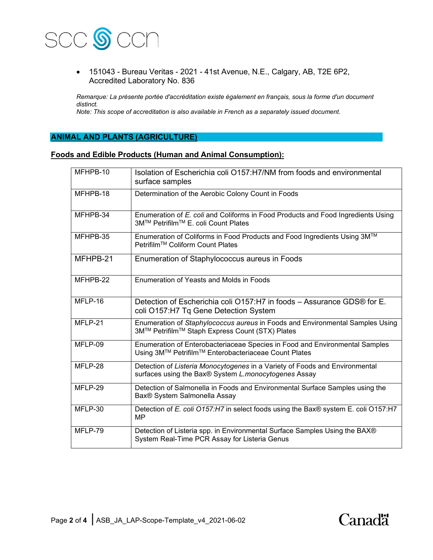

• 151043 - Bureau Veritas - 2021 - 41st Avenue, N.E., Calgary, AB, T2E 6P2, Accredited Laboratory No. 836

*Remarque: La présente portée d'accréditation existe également en français, sous la forme d'un document distinct.*

*Note: This scope of accreditation is also available in French as a separately issued document.*

### **ANIMAL AND PLANTS (AGRICULTURE)**

#### **Foods and Edible Products (Human and Animal Consumption):**

| MFHPB-10   | Isolation of Escherichia coli O157:H7/NM from foods and environmental<br>surface samples                                            |
|------------|-------------------------------------------------------------------------------------------------------------------------------------|
| $MFHPB-18$ | Determination of the Aerobic Colony Count in Foods                                                                                  |
| MFHPB-34   | Enumeration of E. coli and Coliforms in Food Products and Food Ingredients Using<br>3M™ Petrifilm™ E. coli Count Plates             |
| MFHPB-35   | Enumeration of Coliforms in Food Products and Food Ingredients Using 3M™<br>Petrifilm™ Coliform Count Plates                        |
| MFHPB-21   | Enumeration of Staphylococcus aureus in Foods                                                                                       |
| MFHPB-22   | Enumeration of Yeasts and Molds in Foods                                                                                            |
| MFLP-16    | Detection of Escherichia coli O157:H7 in foods – Assurance GDS® for E.<br>coli O157:H7 Tq Gene Detection System                     |
| MFLP-21    | Enumeration of Staphylococcus aureus in Foods and Environmental Samples Using<br>3M™ Petrifilm™ Staph Express Count (STX) Plates    |
| MFLP-09    | Enumeration of Enterobacteriaceae Species in Food and Environmental Samples<br>Using 3M™ Petrifilm™ Enterobacteriaceae Count Plates |
| MFLP-28    | Detection of Listeria Monocytogenes in a Variety of Foods and Environmental<br>surfaces using the Bax® System L.monocytogenes Assay |
| MFLP-29    | Detection of Salmonella in Foods and Environmental Surface Samples using the<br>Bax <sup>®</sup> System Salmonella Assay            |
| MFLP-30    | Detection of E. coli O157:H7 in select foods using the Bax® system E. coli O157:H7<br>MP                                            |
| MFLP-79    | Detection of Listeria spp. in Environmental Surface Samples Using the BAX®<br>System Real-Time PCR Assay for Listeria Genus         |

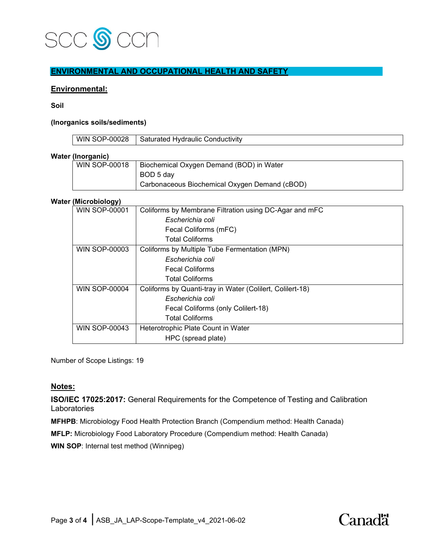

## **ENVIRONMENTAL AND OCCUPATIONAL HEALTH AND SAFETY**

#### **Environmental:**

**Soil**

#### **(Inorganics soils/sediments)**

| <b>WIN SOP-00028</b> |  |
|----------------------|--|
|                      |  |

#### **Water (Inorganic)**

| <b>WIN SOP-00018</b> | Biochemical Oxygen Demand (BOD) in Water      |
|----------------------|-----------------------------------------------|
|                      | BOD 5 day                                     |
|                      | Carbonaceous Biochemical Oxygen Demand (cBOD) |

#### **Water (Microbiology)**

| <b>WIN SOP-00001</b> | Coliforms by Membrane Filtration using DC-Agar and mFC    |
|----------------------|-----------------------------------------------------------|
|                      | Escherichia coli                                          |
|                      | Fecal Coliforms (mFC)                                     |
|                      | <b>Total Coliforms</b>                                    |
| <b>WIN SOP-00003</b> | Coliforms by Multiple Tube Fermentation (MPN)             |
|                      | Escherichia coli                                          |
|                      | <b>Fecal Coliforms</b>                                    |
|                      | <b>Total Coliforms</b>                                    |
| <b>WIN SOP-00004</b> | Coliforms by Quanti-tray in Water (Colilert, Colilert-18) |
|                      | Escherichia coli                                          |
|                      | Fecal Coliforms (only Colilert-18)                        |
|                      | <b>Total Coliforms</b>                                    |
| <b>WIN SOP-00043</b> | Heterotrophic Plate Count in Water                        |
|                      | HPC (spread plate)                                        |

Number of Scope Listings: 19

#### **Notes:**

**ISO/IEC 17025:2017:** General Requirements for the Competence of Testing and Calibration Laboratories

**MFHPB**: Microbiology Food Health Protection Branch (Compendium method: Health Canada)

**MFLP:** Microbiology Food Laboratory Procedure (Compendium method: Health Canada)

**WIN SOP**: Internal test method (Winnipeg)